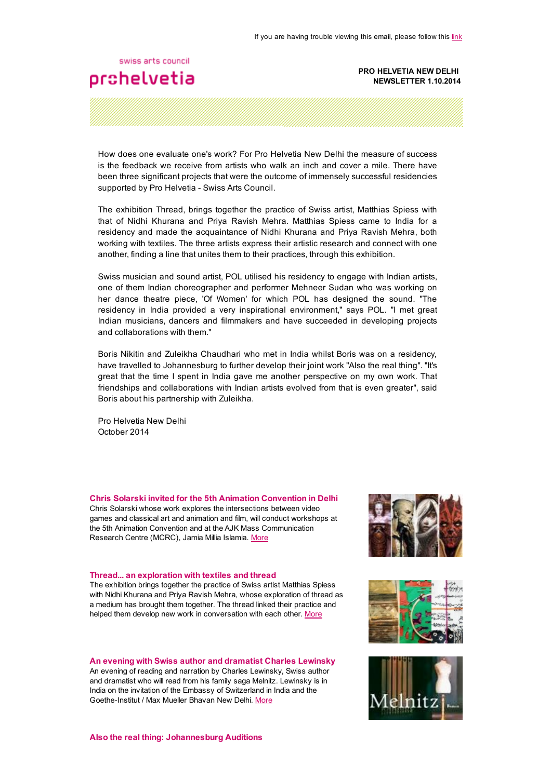## swiss arts council prohelvetia

#### PRO HELVETIA NEW DELHI NEWSLETTER 1.10.2014

How does one evaluate one's work? For Pro Helvetia New Delhi the measure of success is the feedback we receive from artists who walk an inch and cover a mile. There have been three significant projects that were the outcome of immensely successful residencies supported by Pro Helvetia - Swiss Arts Council.

The exhibition Thread, brings together the practice of Swiss artist, Matthias Spiess with that of Nidhi Khurana and Priya Ravish Mehra. Matthias Spiess came to India for a residency and made the acquaintance of Nidhi Khurana and Priya Ravish Mehra, both working with textiles. The three artists express their artistic research and connect with one another, finding a line that unites them to their practices, through this exhibition.

Swiss musician and sound artist, POL utilised his residency to engage with Indian artists, one of them Indian choreographer and performer Mehneer Sudan who was working on her dance theatre piece, 'Of Women' for which POL has designed the sound. "The residency in India provided a very inspirational environment," says POL. "I met great Indian musicians, dancers and filmmakers and have succeeded in developing projects and collaborations with them."

Boris Nikitin and Zuleikha Chaudhari who met in India whilst Boris was on a residency, have travelled to Johannesburg to further develop their joint work "Also the real thing". "It's great that the time I spent in India gave me another perspective on my own work. That friendships and collaborations with Indian artists evolved from that is even greater", said Boris about his partnership with Zuleikha.

Pro Helvetia New Delhi October 2014

### Chris Solarski invited for the 5th Animation Convention in Delhi

Chris Solarski whose work explores the intersections between video games and classical art and animation and film, will conduct workshops at the 5th Animation Convention and at the AJK Mass Communication Research Centre (MCRC), Jamia Millia Islamia. [More](http://www.prohelvetia.in/News-Detail.1932.0.html?&tx_ttnews[tt_news]=2028&cHash=4789f4e643491226e72f08b6b1a2a1e9)

#### Thread... an exploration with textiles and thread

The exhibition brings together the practice of Swiss artist Matthias Spiess with Nidhi Khurana and Priva Ravish Mehra, whose exploration of thread as a medium has brought them together. The thread linked their practice and helped them develop new work in conversation with each other. [More](http://www.prohelvetia.in/News-Detail.1932.0.html?&tx_ttnews[tt_news]=2008&cHash=7eb186e0dfbf89efc74e7c0a9bddd0b1)

#### An evening with Swiss author and dramatist Charles Lewinsky

An evening of reading and narration by Charles Lewinsky, Swiss author and dramatist who will read from his family saga Melnitz. Lewinsky is in India on the invitation of the Embassy of Switzerland in India and the Goethe-Institut / Max Mueller Bhavan New Delhi. [More](http://www.prohelvetia.in/News-Detail.1932.0.html?&tx_ttnews[tt_news]=2027&cHash=9b795abcf31af4389bc1bd1e65621392)